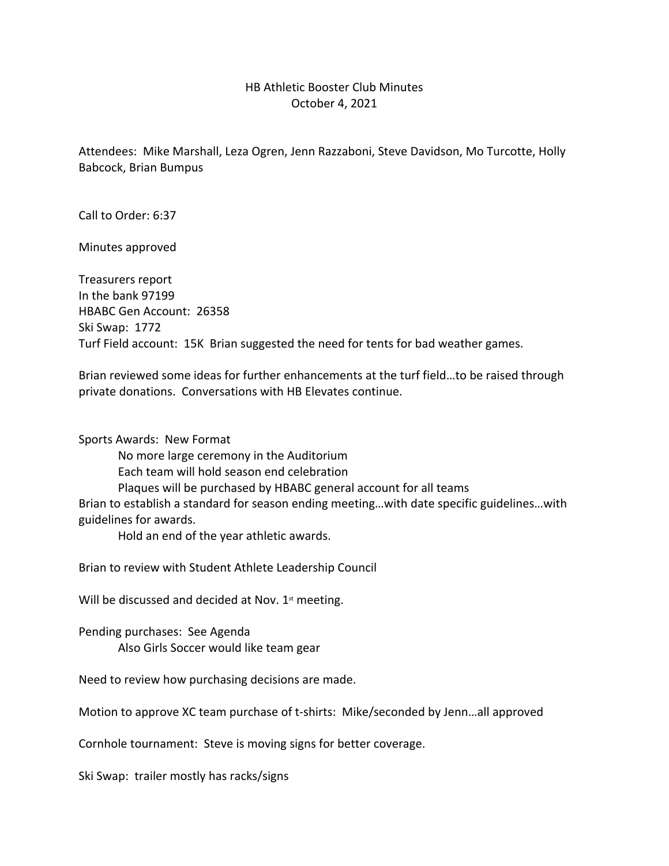## HB Athletic Booster Club Minutes October 4, 2021

Attendees: Mike Marshall, Leza Ogren, Jenn Razzaboni, Steve Davidson, Mo Turcotte, Holly Babcock, Brian Bumpus

Call to Order: 6:37

Minutes approved

Treasurers report In the bank 97199 HBABC Gen Account: 26358 Ski Swap: 1772 Turf Field account: 15K Brian suggested the need for tents for bad weather games.

Brian reviewed some ideas for further enhancements at the turf field…to be raised through private donations. Conversations with HB Elevates continue.

Sports Awards: New Format No more large ceremony in the Auditorium Each team will hold season end celebration Plaques will be purchased by HBABC general account for all teams Brian to establish a standard for season ending meeting…with date specific guidelines…with guidelines for awards. Hold an end of the year athletic awards.

Brian to review with Student Athlete Leadership Council

Will be discussed and decided at Nov.  $1<sup>st</sup>$  meeting.

Pending purchases: See Agenda Also Girls Soccer would like team gear

Need to review how purchasing decisions are made.

Motion to approve XC team purchase of t-shirts: Mike/seconded by Jenn…all approved

Cornhole tournament: Steve is moving signs for better coverage.

Ski Swap: trailer mostly has racks/signs